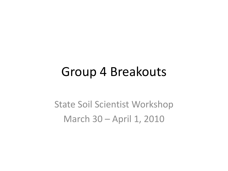#### Group 4 Breakouts

State Soil Scientist Workshop March 30 – April 1, 2010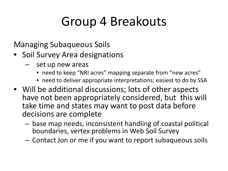# Group 4 Breakouts

Managing Subaqueous Soils

- Soil Survey Area designations
	- set up new areas
		- need to keep "NRI acres" mapping separate from "new acres"
		- need to deliver appropriate interpretations; easiest to do by SSA
- Will be additional discussions; lots of other aspects have not been appropriately considered, but this will take time and states may want to post data before decisions are complete
	- base map needs, inconsistent handling of coastal political boundaries, vertex problems in Web Soil Survey
	- Contact Jon or me if you want to report subaqueous soils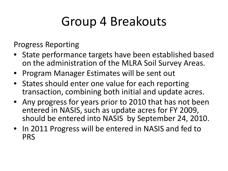# Group 4 Breakouts

Progress Reporting

- State performance targets have been established based on the administration of the MLRA Soil Survey Areas.
- Program Manager Estimates will be sent out
- States should enter one value for each reporting transaction, combining both initial and update acres.
- Any progress for years prior to 2010 that has not been entered in NASIS, such as update acres for FY 2009, should be entered into NASIS by September 24, 2010.
- In 2011 Progress will be entered in NASIS and fed to PRS